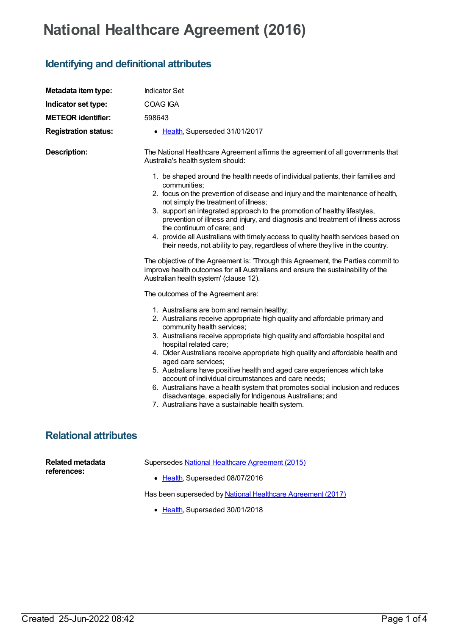## **National Healthcare Agreement (2016)**

## **Identifying and definitional attributes**

| Metadata item type:                    | <b>Indicator Set</b>                                                                                                                                                                                                                                                                                                                                                                                                                                                                                                                                                                                                                                                                                            |
|----------------------------------------|-----------------------------------------------------------------------------------------------------------------------------------------------------------------------------------------------------------------------------------------------------------------------------------------------------------------------------------------------------------------------------------------------------------------------------------------------------------------------------------------------------------------------------------------------------------------------------------------------------------------------------------------------------------------------------------------------------------------|
| Indicator set type:                    | COAG IGA                                                                                                                                                                                                                                                                                                                                                                                                                                                                                                                                                                                                                                                                                                        |
| <b>METEOR identifier:</b>              | 598643                                                                                                                                                                                                                                                                                                                                                                                                                                                                                                                                                                                                                                                                                                          |
| <b>Registration status:</b>            | • Health, Superseded 31/01/2017                                                                                                                                                                                                                                                                                                                                                                                                                                                                                                                                                                                                                                                                                 |
| <b>Description:</b>                    | The National Healthcare Agreement affirms the agreement of all governments that<br>Australia's health system should:                                                                                                                                                                                                                                                                                                                                                                                                                                                                                                                                                                                            |
|                                        | 1. be shaped around the health needs of individual patients, their families and<br>communities;<br>2. focus on the prevention of disease and injury and the maintenance of health,<br>not simply the treatment of illness;<br>3. support an integrated approach to the promotion of healthy lifestyles,<br>prevention of illness and injury, and diagnosis and treatment of illness across<br>the continuum of care; and<br>4. provide all Australians with timely access to quality health services based on<br>their needs, not ability to pay, regardless of where they live in the country.<br>The objective of the Agreement is: 'Through this Agreement, the Parties commit to                            |
|                                        | improve health outcomes for all Australians and ensure the sustainability of the<br>Australian health system' (clause 12).<br>The outcomes of the Agreement are:                                                                                                                                                                                                                                                                                                                                                                                                                                                                                                                                                |
|                                        | 1. Australians are born and remain healthy;<br>2. Australians receive appropriate high quality and affordable primary and<br>community health services;<br>3. Australians receive appropriate high quality and affordable hospital and<br>hospital related care;<br>4. Older Australians receive appropriate high quality and affordable health and<br>aged care services;<br>5. Australians have positive health and aged care experiences which take<br>account of individual circumstances and care needs;<br>6. Australians have a health system that promotes social inclusion and reduces<br>disadvantage, especially for Indigenous Australians; and<br>7. Australians have a sustainable health system. |
| <b>Relational attributes</b>           |                                                                                                                                                                                                                                                                                                                                                                                                                                                                                                                                                                                                                                                                                                                 |
| <b>Related metadata</b><br>references: | Supersedes National Healthcare Agreement (2015)<br>• Health, Superseded 08/07/2016                                                                                                                                                                                                                                                                                                                                                                                                                                                                                                                                                                                                                              |

Has been superseded by National Healthcare [Agreement](https://meteor.aihw.gov.au/content/629963) (2017)

• [Health](https://meteor.aihw.gov.au/RegistrationAuthority/12), Superseded 30/01/2018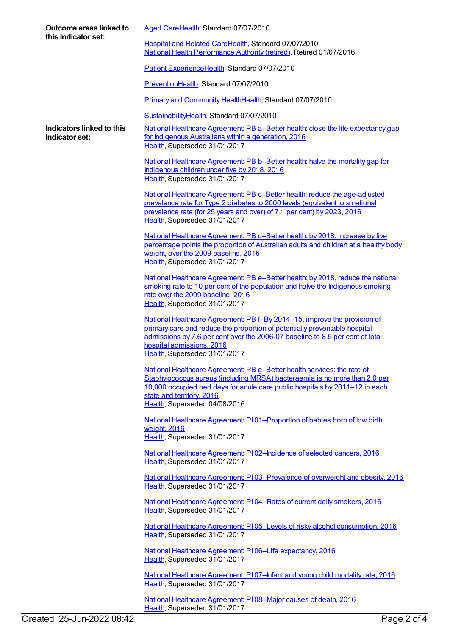| Outcome areas linked to<br>this Indicator set: | Aged CareHealth, Standard 07/07/2010                                                                                                                                                                                                                                                                  |
|------------------------------------------------|-------------------------------------------------------------------------------------------------------------------------------------------------------------------------------------------------------------------------------------------------------------------------------------------------------|
|                                                | Hospital and Related CareHealth, Standard 07/07/2010<br>National Health Performance Authority (retired), Retired 01/07/2016                                                                                                                                                                           |
|                                                | Patient ExperienceHealth, Standard 07/07/2010                                                                                                                                                                                                                                                         |
|                                                | PreventionHealth, Standard 07/07/2010                                                                                                                                                                                                                                                                 |
|                                                | Primary and Community HealthHealth, Standard 07/07/2010                                                                                                                                                                                                                                               |
|                                                | SustainabilityHealth, Standard 07/07/2010                                                                                                                                                                                                                                                             |
| Indicators linked to this<br>Indicator set:    | National Healthcare Agreement: PB a–Better health: close the life expectancy gap<br>for Indigenous Australians within a generation, 2016<br>Health, Superseded 31/01/2017                                                                                                                             |
|                                                | National Healthcare Agreement: PB b-Better health: halve the mortality gap for<br>Indigenous children under five by 2018, 2016<br>Health, Superseded 31/01/2017                                                                                                                                       |
|                                                | National Healthcare Agreement: PB c-Better health: reduce the age-adjusted<br>prevalence rate for Type 2 diabetes to 2000 levels (equivalent to a national<br>prevalence rate (for 25 years and over) of 7.1 per cent) by 2023, 2016<br>Health, Superseded 31/01/2017                                 |
|                                                | National Healthcare Agreement: PB d-Better health: by 2018, increase by five<br>percentage points the proportion of Australian adults and children at a healthy body<br>weight, over the 2009 baseline, 2016<br>Health, Superseded 31/01/2017                                                         |
|                                                | National Healthcare Agreement: PB e-Better health: by 2018, reduce the national<br>smoking rate to 10 per cent of the population and halve the Indigenous smoking<br>rate over the 2009 baseline, 2016<br>Health, Superseded 31/01/2017                                                               |
|                                                | National Healthcare Agreement: PB f-By 2014-15, improve the provision of<br>primary care and reduce the proportion of potentially preventable hospital<br>admissions by 7.6 per cent over the 2006-07 baseline to 8.5 per cent of total<br>hospital admissions, 2016<br>Health, Superseded 31/01/2017 |
|                                                | National Healthcare Agreement: PB g-Better health services: the rate of<br>Staphylococcus aureus (including MRSA) bacteraemia is no more than 2.0 per<br>10,000 occupied bed days for acute care public hospitals by 2011-12 in each<br>state and territory, 2016<br>Health, Superseded 04/08/2016    |
|                                                | National Healthcare Agreement: P101-Proportion of babies born of low birth<br>weight, 2016<br>Health, Superseded 31/01/2017                                                                                                                                                                           |
|                                                | National Healthcare Agreement: PI02-Incidence of selected cancers, 2016<br>Health, Superseded 31/01/2017                                                                                                                                                                                              |
|                                                | National Healthcare Agreement: PI03-Prevalence of overweight and obesity, 2016<br>Health, Superseded 31/01/2017                                                                                                                                                                                       |
|                                                | National Healthcare Agreement: PI04-Rates of current daily smokers, 2016<br>Health, Superseded 31/01/2017                                                                                                                                                                                             |
|                                                | National Healthcare Agreement: PI05-Levels of risky alcohol consumption, 2016<br>Health, Superseded 31/01/2017                                                                                                                                                                                        |
|                                                | National Healthcare Agreement: PI06-Life expectancy, 2016<br>Health, Superseded 31/01/2017                                                                                                                                                                                                            |
|                                                | National Healthcare Agreement: PI07-Infant and young child mortality rate, 2016<br>Health, Superseded 31/01/2017                                                                                                                                                                                      |
|                                                | National Healthcare Agreement: PI08-Major causes of death, 2016<br>Health, Superseded 31/01/2017                                                                                                                                                                                                      |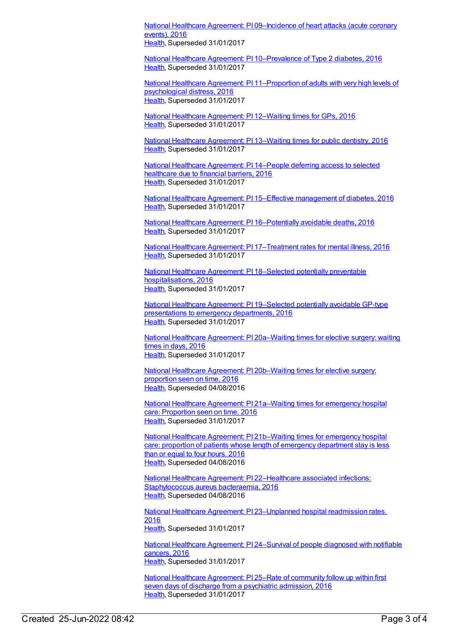National Healthcare Agreement: PI [09–Incidence](https://meteor.aihw.gov.au/content/598799) of heart attacks (acute coronary events), 2016 [Health](https://meteor.aihw.gov.au/RegistrationAuthority/12), Superseded 31/01/2017

National Healthcare Agreement: PI [10–Prevalence](https://meteor.aihw.gov.au/content/598762) of Type 2 diabetes, 2016 [Health](https://meteor.aihw.gov.au/RegistrationAuthority/12), Superseded 31/01/2017

National Healthcare Agreement: PI [11–Proportion](https://meteor.aihw.gov.au/content/598760) of adults with very high levels of psychological distress, 2016 [Health](https://meteor.aihw.gov.au/RegistrationAuthority/12), Superseded 31/01/2017

National Healthcare [Agreement:](https://meteor.aihw.gov.au/content/598758) PI 12–Waiting times for GPs, 2016 [Health](https://meteor.aihw.gov.au/RegistrationAuthority/12), Superseded 31/01/2017

National Healthcare [Agreement:](https://meteor.aihw.gov.au/content/602211) PI 13–Waiting times for public dentistry, 2016 [Health](https://meteor.aihw.gov.au/RegistrationAuthority/12), Superseded 31/01/2017

National Healthcare [Agreement:](https://meteor.aihw.gov.au/content/598754) PI 14–People deferring access to selected healthcare due to financial barriers, 2016 [Health](https://meteor.aihw.gov.au/RegistrationAuthority/12), Superseded 31/01/2017

National Healthcare Agreement: PI 15–Effective [management](https://meteor.aihw.gov.au/content/598752) of diabetes, 2016 [Health](https://meteor.aihw.gov.au/RegistrationAuthority/12), Superseded 31/01/2017

National Healthcare Agreement: PI [16–Potentially](https://meteor.aihw.gov.au/content/598750) avoidable deaths, 2016 [Health](https://meteor.aihw.gov.au/RegistrationAuthority/12), Superseded 31/01/2017

National Healthcare Agreement: PI [17–Treatment](https://meteor.aihw.gov.au/content/598748) rates for mental illness, 2016 [Health](https://meteor.aihw.gov.au/RegistrationAuthority/12), Superseded 31/01/2017

National Healthcare Agreement: PI 18–Selected potentially preventable [hospitalisations,](https://meteor.aihw.gov.au/content/598746) 2016 [Health](https://meteor.aihw.gov.au/RegistrationAuthority/12), Superseded 31/01/2017

National Healthcare Agreement: PI [19–Selected](https://meteor.aihw.gov.au/content/598744) potentially avoidable GP-type presentations to emergency departments, 2016 [Health](https://meteor.aihw.gov.au/RegistrationAuthority/12), Superseded 31/01/2017

National Healthcare Agreement: PI [20a–Waiting](https://meteor.aihw.gov.au/content/598742) times for elective surgery: waiting times in days, 2016 [Health](https://meteor.aihw.gov.au/RegistrationAuthority/12), Superseded 31/01/2017

National Healthcare Agreement: PI [20b–Waiting](https://meteor.aihw.gov.au/content/598740) times for elective surgery: proportion seen on time, 2016 [Health](https://meteor.aihw.gov.au/RegistrationAuthority/12), Superseded 04/08/2016

National Healthcare Agreement: PI [21a–Waiting](https://meteor.aihw.gov.au/content/598738) times for emergency hospital care: Proportion seen on time, 2016 [Health](https://meteor.aihw.gov.au/RegistrationAuthority/12), Superseded 31/01/2017

National Healthcare Agreement: PI [21b–Waiting](https://meteor.aihw.gov.au/content/598736) times for emergency hospital care: proportion of patients whose length of emergency department stay is less than or equal to four hours, 2016 [Health](https://meteor.aihw.gov.au/RegistrationAuthority/12), Superseded 04/08/2016

National Healthcare Agreement: PI [22–Healthcare](https://meteor.aihw.gov.au/content/598734) associated infections: Staphylococcus aureus bacteraemia, 2016 [Health](https://meteor.aihw.gov.au/RegistrationAuthority/12), Superseded 04/08/2016

National Healthcare Agreement: PI [23–Unplanned](https://meteor.aihw.gov.au/content/598732) hospital readmission rates, 2016 [Health](https://meteor.aihw.gov.au/RegistrationAuthority/12), Superseded 31/01/2017

National Healthcare Agreement: PI [24–Survival](https://meteor.aihw.gov.au/content/598730) of people diagnosed with notifiable cancers, 2016 [Health](https://meteor.aihw.gov.au/RegistrationAuthority/12), Superseded 31/01/2017

National Healthcare [Agreement:](https://meteor.aihw.gov.au/content/598728) PI 25–Rate of community follow up within first seven days of discharge from a psychiatric admission, 2016 [Health](https://meteor.aihw.gov.au/RegistrationAuthority/12), Superseded 31/01/2017